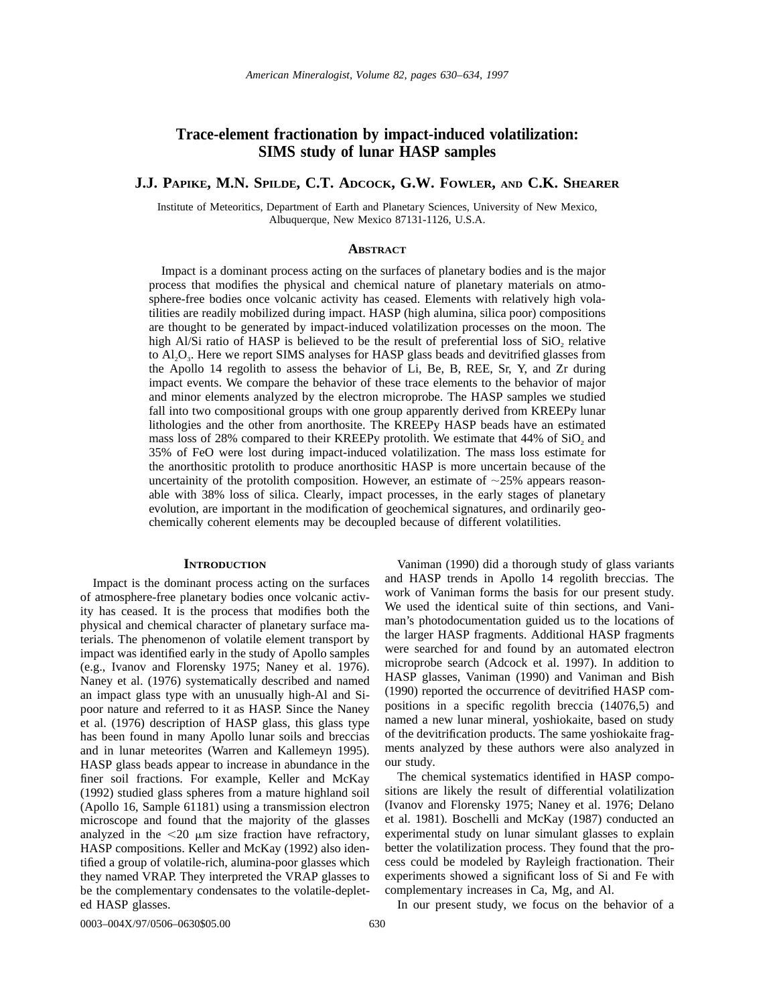# **Trace-element fractionation by impact-induced volatilization: SIMS study of lunar HASP samples**

# **J.J. PAPIKE, M.N. SPILDE, C.T. ADCOCK, G.W. FOWLER, AND C.K. SHEARER**

Institute of Meteoritics, Department of Earth and Planetary Sciences, University of New Mexico, Albuquerque, New Mexico 87131-1126, U.S.A.

# **ABSTRACT**

Impact is a dominant process acting on the surfaces of planetary bodies and is the major process that modifies the physical and chemical nature of planetary materials on atmosphere-free bodies once volcanic activity has ceased. Elements with relatively high volatilities are readily mobilized during impact. HASP (high alumina, silica poor) compositions are thought to be generated by impact-induced volatilization processes on the moon. The high Al/Si ratio of HASP is believed to be the result of preferential loss of  $SiO$ , relative to  $A_1O_3$ . Here we report SIMS analyses for HASP glass beads and devitrified glasses from the Apollo 14 regolith to assess the behavior of Li, Be, B, REE, Sr, Y, and Zr during impact events. We compare the behavior of these trace elements to the behavior of major and minor elements analyzed by the electron microprobe. The HASP samples we studied fall into two compositional groups with one group apparently derived from KREEPy lunar lithologies and the other from anorthosite. The KREEPy HASP beads have an estimated mass loss of 28% compared to their KREEPy protolith. We estimate that  $44\%$  of SiO<sub>2</sub> and 35% of FeO were lost during impact-induced volatilization. The mass loss estimate for the anorthositic protolith to produce anorthositic HASP is more uncertain because of the uncertainity of the protolith composition. However, an estimate of  $\sim$ 25% appears reasonable with 38% loss of silica. Clearly, impact processes, in the early stages of planetary evolution, are important in the modification of geochemical signatures, and ordinarily geochemically coherent elements may be decoupled because of different volatilities.

#### **INTRODUCTION**

Impact is the dominant process acting on the surfaces of atmosphere-free planetary bodies once volcanic activity has ceased. It is the process that modifies both the physical and chemical character of planetary surface materials. The phenomenon of volatile element transport by impact was identified early in the study of Apollo samples (e.g., Ivanov and Florensky 1975; Naney et al. 1976). Naney et al. (1976) systematically described and named an impact glass type with an unusually high-Al and Sipoor nature and referred to it as HASP. Since the Naney et al. (1976) description of HASP glass, this glass type has been found in many Apollo lunar soils and breccias and in lunar meteorites (Warren and Kallemeyn 1995). HASP glass beads appear to increase in abundance in the finer soil fractions. For example, Keller and McKay (1992) studied glass spheres from a mature highland soil (Apollo 16, Sample 61181) using a transmission electron microscope and found that the majority of the glasses analyzed in the  $\langle 20 \mu m \rangle$  size fraction have refractory, HASP compositions. Keller and McKay (1992) also identified a group of volatile-rich, alumina-poor glasses which they named VRAP. They interpreted the VRAP glasses to be the complementary condensates to the volatile-depleted HASP glasses.

Vaniman (1990) did a thorough study of glass variants and HASP trends in Apollo 14 regolith breccias. The work of Vaniman forms the basis for our present study. We used the identical suite of thin sections, and Vaniman's photodocumentation guided us to the locations of the larger HASP fragments. Additional HASP fragments were searched for and found by an automated electron microprobe search (Adcock et al. 1997). In addition to HASP glasses, Vaniman (1990) and Vaniman and Bish (1990) reported the occurrence of devitrified HASP compositions in a specific regolith breccia (14076,5) and named a new lunar mineral, yoshiokaite, based on study of the devitrification products. The same yoshiokaite fragments analyzed by these authors were also analyzed in our study.

The chemical systematics identified in HASP compositions are likely the result of differential volatilization (Ivanov and Florensky 1975; Naney et al. 1976; Delano et al. 1981). Boschelli and McKay (1987) conducted an experimental study on lunar simulant glasses to explain better the volatilization process. They found that the process could be modeled by Rayleigh fractionation. Their experiments showed a significant loss of Si and Fe with complementary increases in Ca, Mg, and Al.

0003–004X/97/0506–0630\$05.00 630

In our present study, we focus on the behavior of a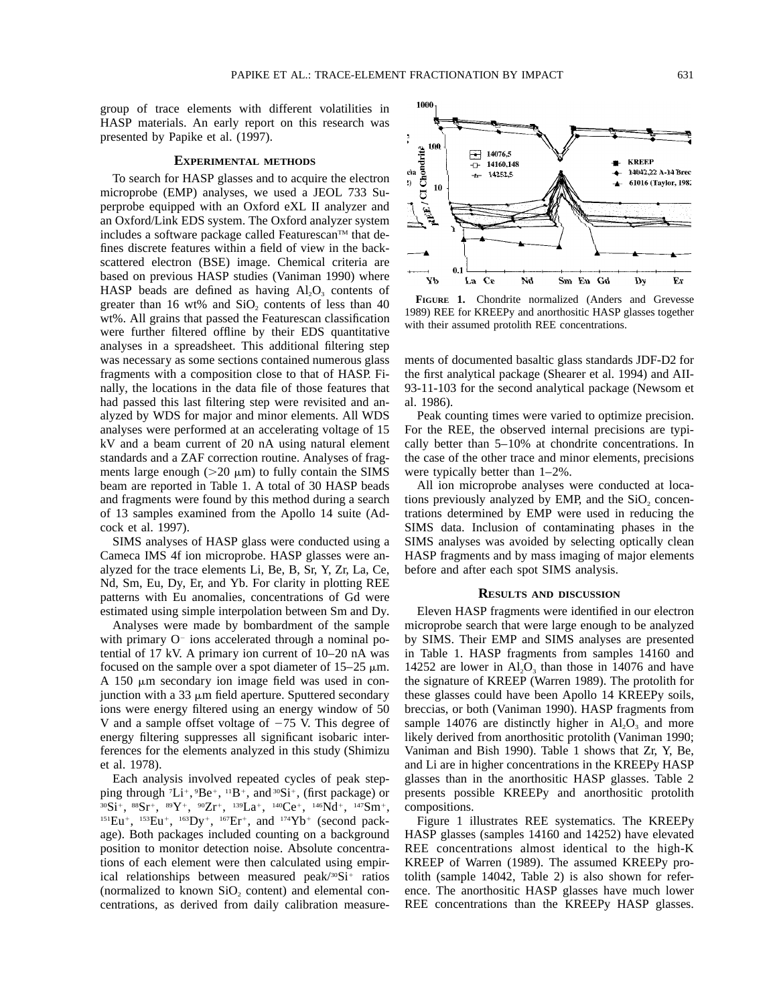group of trace elements with different volatilities in HASP materials. An early report on this research was presented by Papike et al. (1997).

### **EXPERIMENTAL METHODS**

To search for HASP glasses and to acquire the electron microprobe (EMP) analyses, we used a JEOL 733 Superprobe equipped with an Oxford eXL II analyzer and an Oxford/Link EDS system. The Oxford analyzer system includes a software package called Featurescan<sup>TM</sup> that defines discrete features within a field of view in the backscattered electron (BSE) image. Chemical criteria are based on previous HASP studies (Vaniman 1990) where HASP beads are defined as having  $Al_2O_3$  contents of greater than  $16 \text{ wt\%}$  and  $SiO_2$  contents of less than  $40$ wt%. All grains that passed the Featurescan classification were further filtered offline by their EDS quantitative analyses in a spreadsheet. This additional filtering step was necessary as some sections contained numerous glass fragments with a composition close to that of HASP. Finally, the locations in the data file of those features that had passed this last filtering step were revisited and analyzed by WDS for major and minor elements. All WDS analyses were performed at an accelerating voltage of 15 kV and a beam current of 20 nA using natural element standards and a ZAF correction routine. Analyses of fragments large enough ( $>20 \mu$ m) to fully contain the SIMS beam are reported in Table 1. A total of 30 HASP beads and fragments were found by this method during a search of 13 samples examined from the Apollo 14 suite (Adcock et al. 1997).

SIMS analyses of HASP glass were conducted using a Cameca IMS 4f ion microprobe. HASP glasses were analyzed for the trace elements Li, Be, B, Sr, Y, Zr, La, Ce, Nd, Sm, Eu, Dy, Er, and Yb. For clarity in plotting REE patterns with Eu anomalies, concentrations of Gd were estimated using simple interpolation between Sm and Dy.

Analyses were made by bombardment of the sample with primary  $O<sup>-</sup>$  ions accelerated through a nominal potential of 17 kV. A primary ion current of 10–20 nA was focused on the sample over a spot diameter of  $15-25 \mu m$ . A 150  $\mu$ m secondary ion image field was used in conjunction with a 33  $\mu$ m field aperture. Sputtered secondary ions were energy filtered using an energy window of 50 V and a sample offset voltage of  $-75$  V. This degree of energy filtering suppresses all significant isobaric interferences for the elements analyzed in this study (Shimizu et al. 1978).

Each analysis involved repeated cycles of peak stepping through  ${}^{7}Li^{+}$ ,  ${}^{9}Be^{+}$ ,  ${}^{11}B^{+}$ , and  ${}^{30}Si^{+}$ , (first package) or  $30Si^+$ ,  $88Sr^+$ ,  $89Y^+$ ,  $90Zr^+$ ,  $139La^+$ ,  $140Ce^+$ ,  $146Nd^+$ ,  $147Sm^+$ ,  $151Eu^+$ ,  $153Eu^+$ ,  $163Dy^+$ ,  $167Er^+$ , and  $174Yb^+$  (second package). Both packages included counting on a background position to monitor detection noise. Absolute concentrations of each element were then calculated using empirical relationships between measured  $peak/30$ Si<sup>+</sup> ratios (normalized to known  $SiO<sub>2</sub>$  content) and elemental concentrations, as derived from daily calibration measurements of documented basaltic glass standards JDF-D2 for the first analytical package (Shearer et al. 1994) and AII-93-11-103 for the second analytical package (Newsom et al. 1986).

1989) REE for KREEPy and anorthositic HASP glasses together

with their assumed protolith REE concentrations.

Peak counting times were varied to optimize precision. For the REE, the observed internal precisions are typically better than 5–10% at chondrite concentrations. In the case of the other trace and minor elements, precisions were typically better than 1–2%.

All ion microprobe analyses were conducted at locations previously analyzed by EMP, and the  $SiO<sub>2</sub>$  concentrations determined by EMP were used in reducing the SIMS data. Inclusion of contaminating phases in the SIMS analyses was avoided by selecting optically clean HASP fragments and by mass imaging of major elements before and after each spot SIMS analysis.

# **RESULTS AND DISCUSSION**

Eleven HASP fragments were identified in our electron microprobe search that were large enough to be analyzed by SIMS. Their EMP and SIMS analyses are presented in Table 1. HASP fragments from samples 14160 and 14252 are lower in  $Al_2O_3$  than those in 14076 and have the signature of KREEP (Warren 1989). The protolith for these glasses could have been Apollo 14 KREEPy soils, breccias, or both (Vaniman 1990). HASP fragments from sample 14076 are distinctly higher in  $Al_2O_3$  and more likely derived from anorthositic protolith (Vaniman 1990; Vaniman and Bish 1990). Table 1 shows that Zr, Y, Be, and Li are in higher concentrations in the KREEPy HASP glasses than in the anorthositic HASP glasses. Table 2 presents possible KREEPy and anorthositic protolith compositions.

Figure 1 illustrates REE systematics. The KREEPy HASP glasses (samples 14160 and 14252) have elevated REE concentrations almost identical to the high-K KREEP of Warren (1989). The assumed KREEPy protolith (sample 14042, Table 2) is also shown for reference. The anorthositic HASP glasses have much lower REE concentrations than the KREEPy HASP glasses.

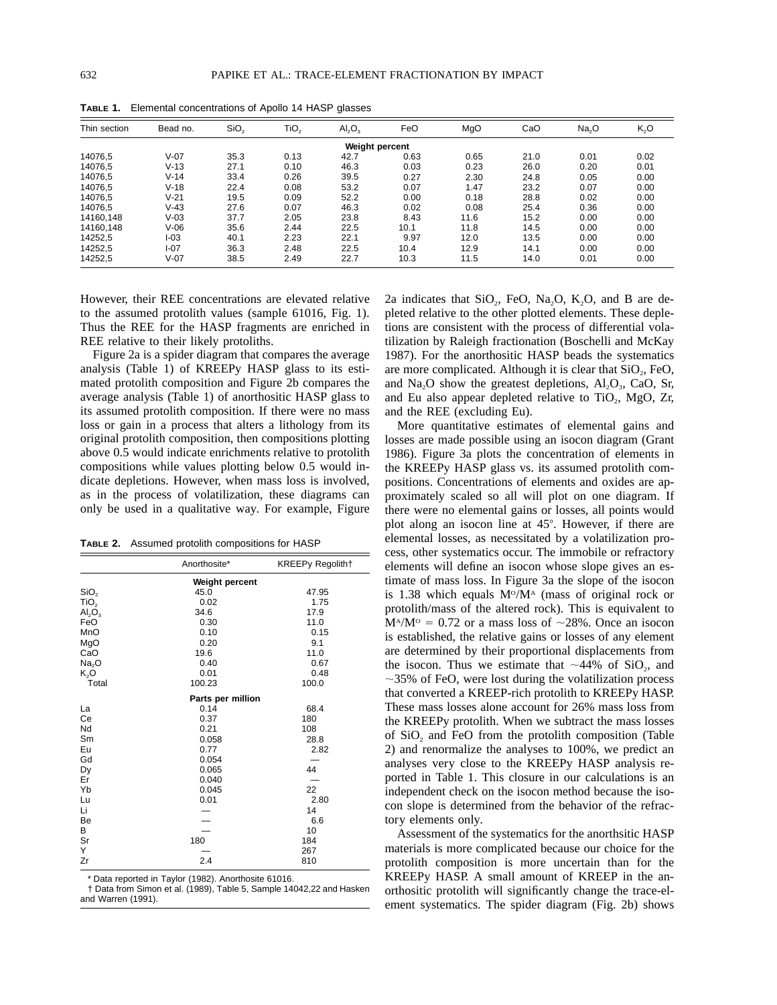| Thin section | Bead no. | SiO <sub>2</sub> | TiO <sub>2</sub> | AI <sub>2</sub> O <sub>3</sub> | FeO  | MgO  | CaO  | Na <sub>2</sub> O | K,O  |
|--------------|----------|------------------|------------------|--------------------------------|------|------|------|-------------------|------|
|              |          |                  |                  | Weight percent                 |      |      |      |                   |      |
| 14076.5      | $V-07$   | 35.3             | 0.13             | 42.7                           | 0.63 | 0.65 | 21.0 | 0.01              | 0.02 |
| 14076,5      | $V-13$   | 27.1             | 0.10             | 46.3                           | 0.03 | 0.23 | 26.0 | 0.20              | 0.01 |
| 14076.5      | $V - 14$ | 33.4             | 0.26             | 39.5                           | 0.27 | 2.30 | 24.8 | 0.05              | 0.00 |
| 14076.5      | $V-18$   | 22.4             | 0.08             | 53.2                           | 0.07 | 1.47 | 23.2 | 0.07              | 0.00 |
| 14076.5      | $V-21$   | 19.5             | 0.09             | 52.2                           | 0.00 | 0.18 | 28.8 | 0.02              | 0.00 |
| 14076.5      | $V-43$   | 27.6             | 0.07             | 46.3                           | 0.02 | 0.08 | 25.4 | 0.36              | 0.00 |
| 14160.148    | $V-03$   | 37.7             | 2.05             | 23.8                           | 8.43 | 11.6 | 15.2 | 0.00              | 0.00 |
| 14160.148    | V-06     | 35.6             | 2.44             | 22.5                           | 10.1 | 11.8 | 14.5 | 0.00              | 0.00 |
| 14252,5      | I-03     | 40.1             | 2.23             | 22.1                           | 9.97 | 12.0 | 13.5 | 0.00              | 0.00 |
| 14252,5      | I-07     | 36.3             | 2.48             | 22.5                           | 10.4 | 12.9 | 14.1 | 0.00              | 0.00 |
| 14252,5      | $V-07$   | 38.5             | 2.49             | 22.7                           | 10.3 | 11.5 | 14.0 | 0.01              | 0.00 |

**TABLE 1.** Elemental concentrations of Apollo 14 HASP glasses

However, their REE concentrations are elevated relative to the assumed protolith values (sample 61016, Fig. 1). Thus the REE for the HASP fragments are enriched in REE relative to their likely protoliths.

Figure 2a is a spider diagram that compares the average analysis (Table 1) of KREEPy HASP glass to its estimated protolith composition and Figure 2b compares the average analysis (Table 1) of anorthositic HASP glass to its assumed protolith composition. If there were no mass loss or gain in a process that alters a lithology from its original protolith composition, then compositions plotting above 0.5 would indicate enrichments relative to protolith compositions while values plotting below 0.5 would indicate depletions. However, when mass loss is involved, as in the process of volatilization, these diagrams can only be used in a qualitative way. For example, Figure

**TABLE 2.** Assumed protolith compositions for HASP

|                             | Anorthosite*      | <b>KREEPy Regolith†</b> |  |  |  |  |
|-----------------------------|-------------------|-------------------------|--|--|--|--|
|                             | Weight percent    |                         |  |  |  |  |
| SiO <sub>2</sub>            | 45.0              | 47.95                   |  |  |  |  |
| TiO <sub>2</sub>            | 0.02              | 1.75                    |  |  |  |  |
| $\mathsf{Al}_2\mathsf{O}_3$ | 34.6              | 17.9                    |  |  |  |  |
| FeO                         | 0.30              | 11.0                    |  |  |  |  |
| MnO                         | 0.10              | 0.15                    |  |  |  |  |
| MgO                         | 0.20              | 9.1                     |  |  |  |  |
| CaO                         | 19.6              | 11.0                    |  |  |  |  |
| Na <sub>2</sub> O           | 0.40              | 0.67                    |  |  |  |  |
| K,O                         | 0.01              | 0.48                    |  |  |  |  |
| Total                       | 100.23            | 100.0                   |  |  |  |  |
|                             | Parts per million |                         |  |  |  |  |
| La                          | 0.14              | 68.4                    |  |  |  |  |
| Ce                          | 0.37              | 180                     |  |  |  |  |
| Nd                          | 0.21              | 108                     |  |  |  |  |
| Sm                          | 0.058             | 28.8                    |  |  |  |  |
| Eu                          | 0.77              | 2.82                    |  |  |  |  |
| Gd                          | 0.054             |                         |  |  |  |  |
| Dy                          | 0.065             | 44                      |  |  |  |  |
| Er                          | 0.040             |                         |  |  |  |  |
| Yb                          | 0.045             | 22                      |  |  |  |  |
| Lu                          | 0.01              | 2.80                    |  |  |  |  |
| Li                          |                   | 14                      |  |  |  |  |
| Be                          |                   | 6.6                     |  |  |  |  |
| В                           |                   | 10                      |  |  |  |  |
| Sr                          | 180               | 184                     |  |  |  |  |
| Y                           |                   | 267                     |  |  |  |  |
| Zr                          | 2.4               | 810                     |  |  |  |  |

\* Data reported in Taylor (1982). Anorthosite 61016.

† Data from Simon et al. (1989), Table 5, Sample 14042,22 and Hasken and Warren (1991).

2a indicates that  $SiO_2$ , FeO, Na<sub>2</sub>O, K<sub>2</sub>O, and B are depleted relative to the other plotted elements. These depletions are consistent with the process of differential volatilization by Raleigh fractionation (Boschelli and McKay 1987). For the anorthositic HASP beads the systematics are more complicated. Although it is clear that  $SiO<sub>2</sub>$ , FeO, and Na<sub>2</sub>O show the greatest depletions,  $Al_2O_3$ , CaO, Sr, and Eu also appear depleted relative to TiO<sub>2</sub>, MgO, Zr, and the REE (excluding Eu).

More quantitative estimates of elemental gains and losses are made possible using an isocon diagram (Grant 1986). Figure 3a plots the concentration of elements in the KREEPy HASP glass vs. its assumed protolith compositions. Concentrations of elements and oxides are approximately scaled so all will plot on one diagram. If there were no elemental gains or losses, all points would plot along an isocon line at 45°. However, if there are elemental losses, as necessitated by a volatilization process, other systematics occur. The immobile or refractory elements will define an isocon whose slope gives an estimate of mass loss. In Figure 3a the slope of the isocon is 1.38 which equals  $M^{\circ}/M^{\alpha}$  (mass of original rock or protolith/mass of the altered rock). This is equivalent to  $M^4/M^{\circ} = 0.72$  or a mass loss of  $\sim 28\%$ . Once an isocon is established, the relative gains or losses of any element are determined by their proportional displacements from the isocon. Thus we estimate that  $\sim$ 44% of SiO<sub>2</sub>, and  $\sim$ 35% of FeO, were lost during the volatilization process that converted a KREEP-rich protolith to KREEPy HASP. These mass losses alone account for 26% mass loss from the KREEPy protolith. When we subtract the mass losses of  $SiO<sub>2</sub>$  and FeO from the protolith composition (Table 2) and renormalize the analyses to 100%, we predict an analyses very close to the KREEPy HASP analysis reported in Table 1. This closure in our calculations is an independent check on the isocon method because the isocon slope is determined from the behavior of the refractory elements only.

Assessment of the systematics for the anorthsitic HASP materials is more complicated because our choice for the protolith composition is more uncertain than for the KREEPy HASP. A small amount of KREEP in the anorthositic protolith will significantly change the trace-element systematics. The spider diagram (Fig. 2b) shows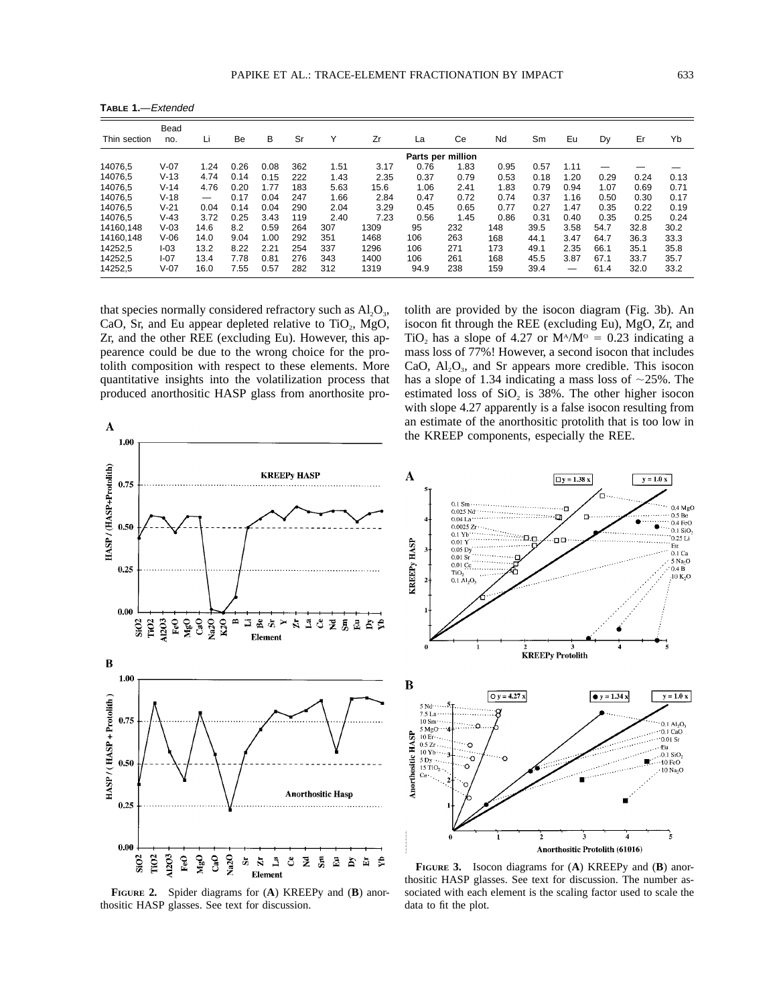**TABLE 1.**—Extended

| Thin section | Bead<br>no. | Li                       | Be   | в    | Sr  | ٧    | Zr   | La   | Ce   | Nd   | Sm   | Eu   | Dy   | Er   | Yb   |
|--------------|-------------|--------------------------|------|------|-----|------|------|------|------|------|------|------|------|------|------|
|              |             | Parts per million        |      |      |     |      |      |      |      |      |      |      |      |      |      |
| 14076.5      | $V-07$      | 1.24                     | 0.26 | 0.08 | 362 | 1.51 | 3.17 | 0.76 | 1.83 | 0.95 | 0.57 | 1.11 |      |      |      |
| 14076.5      | $V-13$      | 4.74                     | 0.14 | 0.15 | 222 | 1.43 | 2.35 | 0.37 | 0.79 | 0.53 | 0.18 | 1.20 | 0.29 | 0.24 | 0.13 |
| 14076,5      | $V - 14$    | 4.76                     | 0.20 | 1.77 | 183 | 5.63 | 15.6 | 1.06 | 2.41 | 1.83 | 0.79 | 0.94 | 1.07 | 0.69 | 0.71 |
| 14076.5      | $V-18$      | $\overline{\phantom{m}}$ | 0.17 | 0.04 | 247 | 1.66 | 2.84 | 0.47 | 0.72 | 0.74 | 0.37 | 1.16 | 0.50 | 0.30 | 0.17 |
| 14076.5      | $V-21$      | 0.04                     | 0.14 | 0.04 | 290 | 2.04 | 3.29 | 0.45 | 0.65 | 0.77 | 0.27 | 1.47 | 0.35 | 0.22 | 0.19 |
| 14076.5      | $V-43$      | 3.72                     | 0.25 | 3.43 | 119 | 2.40 | 7.23 | 0.56 | 1.45 | 0.86 | 0.31 | 0.40 | 0.35 | 0.25 | 0.24 |
| 14160.148    | $V-03$      | 14.6                     | 8.2  | 0.59 | 264 | 307  | 1309 | 95   | 232  | 148  | 39.5 | 3.58 | 54.7 | 32.8 | 30.2 |
| 14160.148    | $V-06$      | 14.0                     | 9.04 | 1.00 | 292 | 351  | 1468 | 106  | 263  | 168  | 44.1 | 3.47 | 64.7 | 36.3 | 33.3 |
| 14252.5      | I-03        | 13.2                     | 8.22 | 2.21 | 254 | 337  | 1296 | 106  | 271  | 173  | 49.1 | 2.35 | 66.1 | 35.1 | 35.8 |
| 14252,5      | I-07        | 13.4                     | 7.78 | 0.81 | 276 | 343  | 1400 | 106  | 261  | 168  | 45.5 | 3.87 | 67.1 | 33.7 | 35.7 |
| 14252.5      | $V-07$      | 16.0                     | 7.55 | 0.57 | 282 | 312  | 1319 | 94.9 | 238  | 159  | 39.4 |      | 61.4 | 32.0 | 33.2 |

that species normally considered refractory such as  $Al_2O_3$ , CaO, Sr, and Eu appear depleted relative to TiO<sub>2</sub>, MgO, Zr, and the other REE (excluding Eu). However, this appearence could be due to the wrong choice for the protolith composition with respect to these elements. More quantitative insights into the volatilization process that produced anorthositic HASP glass from anorthosite protolith are provided by the isocon diagram (Fig. 3b). An isocon fit through the REE (excluding Eu), MgO, Zr, and TiO<sub>2</sub> has a slope of 4.27 or  $M^4/M^{\circ} = 0.23$  indicating a mass loss of 77%! However, a second isocon that includes CaO,  $Al_2O_3$ , and Sr appears more credible. This isocon has a slope of 1.34 indicating a mass loss of  $\sim$ 25%. The estimated loss of  $SiO<sub>2</sub>$  is 38%. The other higher isocon with slope 4.27 apparently is a false isocon resulting from an estimate of the anorthositic protolith that is too low in the KREEP components, especially the REE.



 $\overline{\mathbf{A}}$  $\Box$  y = 1.38 x  $y = 1.0 x$  $0.1$  Sm $\cdot$  $0.4 \text{ MgO}$ 'n, 0.025 Nd  $\overline{a}$  $0 \leq D$  $0.04$  La $^{++}$ <br> $0.0025$  Zr  $m_{\overline{1}}$  $0.4 \text{FeO}$ 0.1 SiO<sub>2</sub>  $0.1 Yb$  $0.25$ Li oo  $0.01Y$ **KREEPY HASP**  $E$ u<br>0.1 Ca  $0.05<sub>dy</sub>$  $0.01Sr$ 5 Na<sub>2</sub>O  $0.01$  Cc  $0.4\,\mathbf{R}$  $TIO<sub>2</sub>  
0.1 Al<sub>2</sub>O$  $10 K<sub>2</sub>O$  $\overline{2}$ **KREEPy Protolith**  $\bf{B}$  $Qy = 4.27 x$  $y = 1.34 x$  $y = 1.0 x$  $\begin{array}{l} 5 \text{ Nd} \cdots \\ 7.5 \text{ La} \end{array}$ 10 Sm·  $0.1 \text{ Al}_2\text{O}_3$  $5 \text{ MgO}$ <br> $10 \text{ Er}$ <br> $0.5 \text{ Zr}$  $0.1$  CaO Anorthositic HASP  $0.01$  Sr O  $\frac{1}{2}$  Cu SiO<sub>2</sub>  $10Yb$  $5 \text{ Dy} \cdot \cdot$ <br>15 TiO<sub>2</sub>  $\circ$  $\cdot$ 10 FeO ۰Ó 10 Na<sub>2</sub>O Ce à  $\overline{2}$ ۹ Anorthositic Protolith (61016)

**FIGURE 2.** Spider diagrams for (**A**) KREEPy and (**B**) anorthositic HASP glasses. See text for discussion.

**FIGURE 3.** Isocon diagrams for (**A**) KREEPy and (**B**) anorthositic HASP glasses. See text for discussion. The number associated with each element is the scaling factor used to scale the data to fit the plot.